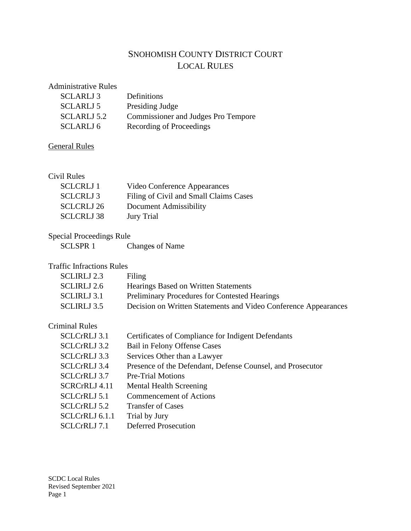# SNOHOMISH COUNTY DISTRICT COURT LOCAL RULES

### Administrative Rules

| SCLARLJ 3        | Definitions                                |
|------------------|--------------------------------------------|
| <b>SCLARLJ 5</b> | Presiding Judge                            |
| SCLARLJ 5.2      | <b>Commissioner and Judges Pro Tempore</b> |
| SCLARLJ 6        | Recording of Proceedings                   |

# General Rules

#### Civil Rules

| <b>SCLCRLJ</b> 1  | Video Conference Appearances           |
|-------------------|----------------------------------------|
| <b>SCLCRLJ3</b>   | Filing of Civil and Small Claims Cases |
| <b>SCLCRLJ 26</b> | Document Admissibility                 |
| <b>SCLCRLJ 38</b> | <b>Jury Trial</b>                      |

# Special Proceedings Rule

| <b>SCLSPR1</b> | Changes of Name |
|----------------|-----------------|

## Traffic Infractions Rules

| <b>SCLIRLJ</b> 2.3 | Filing                                                          |
|--------------------|-----------------------------------------------------------------|
| <b>SCLIRLJ</b> 2.6 | <b>Hearings Based on Written Statements</b>                     |
| <b>SCLIRLJ</b> 3.1 | <b>Preliminary Procedures for Contested Hearings</b>            |
| <b>SCLIRLJ</b> 3.5 | Decision on Written Statements and Video Conference Appearances |
|                    |                                                                 |

## Criminal Rules

| <b>SCLCrRLJ 3.1</b>            | Certificates of Compliance for Indigent Defendants         |
|--------------------------------|------------------------------------------------------------|
| <b>SCLC<sub>rRLJ</sub></b> 3.2 | Bail in Felony Offense Cases                               |
| <b>SCLC<sub>rRLJ</sub></b> 3.3 | Services Other than a Lawyer                               |
| <b>SCLC<sub>rRLJ</sub></b> 3.4 | Presence of the Defendant, Defense Counsel, and Prosecutor |
| <b>SCLC<sub>rRLJ</sub></b> 3.7 | Pre-Trial Motions                                          |
| <b>SCRCrRLJ 4.11</b>           | <b>Mental Health Screening</b>                             |
| <b>SCLCrRLJ 5.1</b>            | <b>Commencement of Actions</b>                             |
| <b>SCLC<sub>rRLJ</sub></b> 5.2 | <b>Transfer of Cases</b>                                   |
| SCLCrRLJ 6.1.1                 | Trial by Jury                                              |
| <b>SCLCrRLJ</b> 7.1            | <b>Deferred Prosecution</b>                                |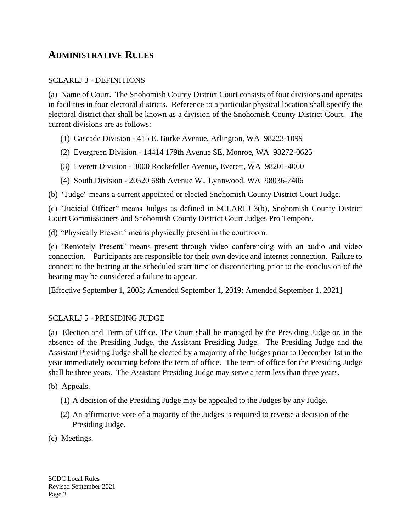# **ADMINISTRATIVE RULES**

### SCLARLJ 3 - DEFINITIONS

(a) Name of Court. The Snohomish County District Court consists of four divisions and operates in facilities in four electoral districts. Reference to a particular physical location shall specify the electoral district that shall be known as a division of the Snohomish County District Court. The current divisions are as follows:

- (1) Cascade Division 415 E. Burke Avenue, Arlington, WA 98223-1099
- (2) Evergreen Division 14414 179th Avenue SE, Monroe, WA 98272-0625
- (3) Everett Division 3000 Rockefeller Avenue, Everett, WA 98201-4060
- (4) South Division 20520 68th Avenue W., Lynnwood, WA 98036-7406

(b) "Judge" means a current appointed or elected Snohomish County District Court Judge.

(c) "Judicial Officer" means Judges as defined in SCLARLJ 3(b), Snohomish County District Court Commissioners and Snohomish County District Court Judges Pro Tempore.

(d) "Physically Present" means physically present in the courtroom.

(e) "Remotely Present" means present through video conferencing with an audio and video connection. Participants are responsible for their own device and internet connection. Failure to connect to the hearing at the scheduled start time or disconnecting prior to the conclusion of the hearing may be considered a failure to appear.

[Effective September 1, 2003; Amended September 1, 2019; Amended September 1, 2021]

### SCLARLJ 5 - PRESIDING JUDGE

(a) Election and Term of Office. The Court shall be managed by the Presiding Judge or, in the absence of the Presiding Judge, the Assistant Presiding Judge. The Presiding Judge and the Assistant Presiding Judge shall be elected by a majority of the Judges prior to December 1st in the year immediately occurring before the term of office. The term of office for the Presiding Judge shall be three years. The Assistant Presiding Judge may serve a term less than three years.

(b) Appeals.

- (1) A decision of the Presiding Judge may be appealed to the Judges by any Judge.
- (2) An affirmative vote of a majority of the Judges is required to reverse a decision of the Presiding Judge.

(c) Meetings.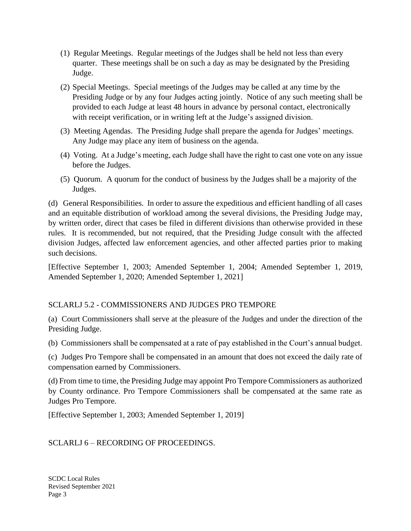- (1) Regular Meetings. Regular meetings of the Judges shall be held not less than every quarter. These meetings shall be on such a day as may be designated by the Presiding Judge.
- (2) Special Meetings. Special meetings of the Judges may be called at any time by the Presiding Judge or by any four Judges acting jointly. Notice of any such meeting shall be provided to each Judge at least 48 hours in advance by personal contact, electronically with receipt verification, or in writing left at the Judge's assigned division.
- (3) Meeting Agendas. The Presiding Judge shall prepare the agenda for Judges' meetings. Any Judge may place any item of business on the agenda.
- (4) Voting. At a Judge's meeting, each Judge shall have the right to cast one vote on any issue before the Judges.
- (5) Quorum. A quorum for the conduct of business by the Judges shall be a majority of the Judges.

(d) General Responsibilities. In order to assure the expeditious and efficient handling of all cases and an equitable distribution of workload among the several divisions, the Presiding Judge may, by written order, direct that cases be filed in different divisions than otherwise provided in these rules. It is recommended, but not required, that the Presiding Judge consult with the affected division Judges, affected law enforcement agencies, and other affected parties prior to making such decisions.

[Effective September 1, 2003; Amended September 1, 2004; Amended September 1, 2019, Amended September 1, 2020; Amended September 1, 2021]

# SCLARLJ 5.2 - COMMISSIONERS AND JUDGES PRO TEMPORE

(a) Court Commissioners shall serve at the pleasure of the Judges and under the direction of the Presiding Judge.

(b) Commissioners shall be compensated at a rate of pay established in the Court's annual budget.

(c) Judges Pro Tempore shall be compensated in an amount that does not exceed the daily rate of compensation earned by Commissioners.

(d) From time to time, the Presiding Judge may appoint Pro Tempore Commissioners as authorized by County ordinance. Pro Tempore Commissioners shall be compensated at the same rate as Judges Pro Tempore.

[Effective September 1, 2003; Amended September 1, 2019]

SCLARLJ 6 – RECORDING OF PROCEEDINGS.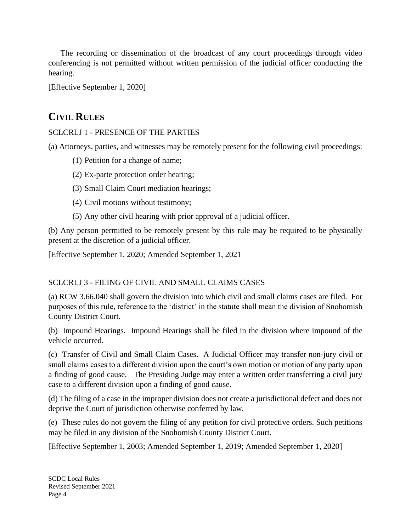The recording or dissemination of the broadcast of any court proceedings through video conferencing is not permitted without written permission of the judicial officer conducting the hearing.

[Effective September 1, 2020]

# **CIVIL RULES**

## SCLCRLJ 1 - PRESENCE OF THE PARTIES

(a) Attorneys, parties, and witnesses may be remotely present for the following civil proceedings:

- (1) Petition for a change of name;
- (2) Ex-parte protection order hearing;
- (3) Small Claim Court mediation hearings;
- (4) Civil motions without testimony;
- (5) Any other civil hearing with prior approval of a judicial officer.

(b) Any person permitted to be remotely present by this rule may be required to be physically present at the discretion of a judicial officer.

[Effective September 1, 2020; Amended September 1, 2021

# SCLCRLJ 3 - FILING OF CIVIL AND SMALL CLAIMS CASES

(a) RCW 3.66.040 shall govern the division into which civil and small claims cases are filed. For purposes of this rule, reference to the 'district' in the statute shall mean the division of Snohomish County District Court.

(b) Impound Hearings. Impound Hearings shall be filed in the division where impound of the vehicle occurred.

(c) Transfer of Civil and Small Claim Cases. A Judicial Officer may transfer non-jury civil or small claims cases to a different division upon the court's own motion or motion of any party upon a finding of good cause. The Presiding Judge may enter a written order transferring a civil jury case to a different division upon a finding of good cause.

(d) The filing of a case in the improper division does not create a jurisdictional defect and does not deprive the Court of jurisdiction otherwise conferred by law.

(e) These rules do not govern the filing of any petition for civil protective orders. Such petitions may be filed in any division of the Snohomish County District Court.

[Effective September 1, 2003; Amended September 1, 2019; Amended September 1, 2020]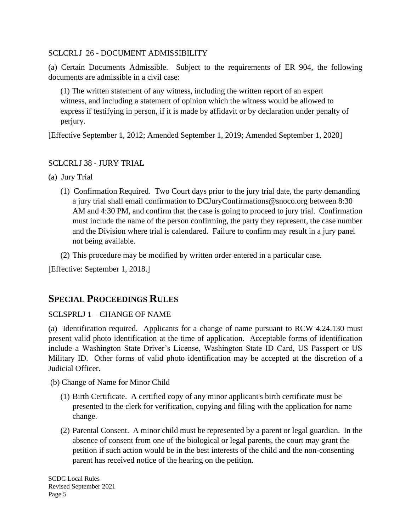### SCLCRLJ 26 - DOCUMENT ADMISSIBILITY

(a) Certain Documents Admissible. Subject to the requirements of ER 904, the following documents are admissible in a civil case:

(1) The written statement of any witness, including the written report of an expert witness, and including a statement of opinion which the witness would be allowed to express if testifying in person, if it is made by affidavit or by declaration under penalty of perjury.

[Effective September 1, 2012; Amended September 1, 2019; Amended September 1, 2020]

### SCLCRLJ 38 - JURY TRIAL

- (a) Jury Trial
	- (1) Confirmation Required. Two Court days prior to the jury trial date, the party demanding a jury trial shall email confirmation to DCJuryConfirmations@snoco.org between 8:30 AM and 4:30 PM, and confirm that the case is going to proceed to jury trial. Confirmation must include the name of the person confirming, the party they represent, the case number and the Division where trial is calendared. Failure to confirm may result in a jury panel not being available.
	- (2) This procedure may be modified by written order entered in a particular case.

[Effective: September 1, 2018.]

# **SPECIAL PROCEEDINGS RULES**

### SCLSPRLJ 1 – CHANGE OF NAME

(a) Identification required. Applicants for a change of name pursuant to RCW 4.24.130 must present valid photo identification at the time of application. Acceptable forms of identification include a Washington State Driver's License, Washington State ID Card, US Passport or US Military ID. Other forms of valid photo identification may be accepted at the discretion of a Judicial Officer.

(b) Change of Name for Minor Child

- (1) Birth Certificate. A certified copy of any minor applicant's birth certificate must be presented to the clerk for verification, copying and filing with the application for name change.
- (2) Parental Consent. A minor child must be represented by a parent or legal guardian. In the absence of consent from one of the biological or legal parents, the court may grant the petition if such action would be in the best interests of the child and the non-consenting parent has received notice of the hearing on the petition.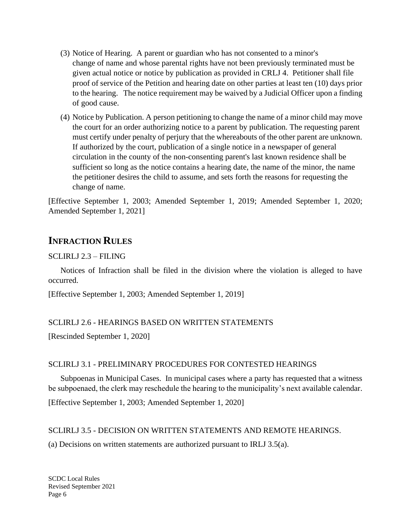- (3) Notice of Hearing. A parent or guardian who has not consented to a minor's change of name and whose parental rights have not been previously terminated must be given actual notice or notice by publication as provided in CRLJ 4. Petitioner shall file proof of service of the Petition and hearing date on other parties at least ten (10) days prior to the hearing. The notice requirement may be waived by a Judicial Officer upon a finding of good cause.
- (4) Notice by Publication. A person petitioning to change the name of a minor child may move the court for an order authorizing notice to a parent by publication. The requesting parent must certify under penalty of perjury that the whereabouts of the other parent are unknown. If authorized by the court, publication of a single notice in a newspaper of general circulation in the county of the non-consenting parent's last known residence shall be sufficient so long as the notice contains a hearing date, the name of the minor, the name the petitioner desires the child to assume, and sets forth the reasons for requesting the change of name.

[Effective September 1, 2003; Amended September 1, 2019; Amended September 1, 2020; Amended September 1, 2021]

# **INFRACTION RULES**

#### SCLIRLJ 2.3 – FILING

Notices of Infraction shall be filed in the division where the violation is alleged to have occurred.

[Effective September 1, 2003; Amended September 1, 2019]

### SCLIRLJ 2.6 - HEARINGS BASED ON WRITTEN STATEMENTS

[Rescinded September 1, 2020]

#### SCLIRLJ 3.1 - PRELIMINARY PROCEDURES FOR CONTESTED HEARINGS

 Subpoenas in Municipal Cases. In municipal cases where a party has requested that a witness be subpoenaed, the clerk may reschedule the hearing to the municipality's next available calendar.

[Effective September 1, 2003; Amended September 1, 2020]

### SCLIRLJ 3.5 - DECISION ON WRITTEN STATEMENTS AND REMOTE HEARINGS.

(a) Decisions on written statements are authorized pursuant to IRLJ 3.5(a).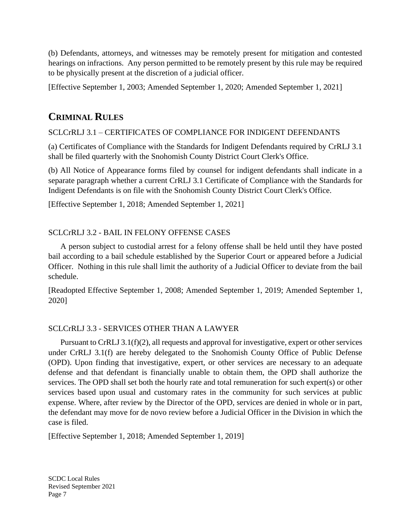(b) Defendants, attorneys, and witnesses may be remotely present for mitigation and contested hearings on infractions. Any person permitted to be remotely present by this rule may be required to be physically present at the discretion of a judicial officer.

[Effective September 1, 2003; Amended September 1, 2020; Amended September 1, 2021]

# **CRIMINAL RULES**

## SCLCrRLJ 3.1 – CERTIFICATES OF COMPLIANCE FOR INDIGENT DEFENDANTS

(a) Certificates of Compliance with the Standards for Indigent Defendants required by CrRLJ 3.1 shall be filed quarterly with the Snohomish County District Court Clerk's Office.

(b) All Notice of Appearance forms filed by counsel for indigent defendants shall indicate in a separate paragraph whether a current CrRLJ 3.1 Certificate of Compliance with the Standards for Indigent Defendants is on file with the Snohomish County District Court Clerk's Office.

[Effective September 1, 2018; Amended September 1, 2021]

# SCLCrRLJ 3.2 - BAIL IN FELONY OFFENSE CASES

A person subject to custodial arrest for a felony offense shall be held until they have posted bail according to a bail schedule established by the Superior Court or appeared before a Judicial Officer. Nothing in this rule shall limit the authority of a Judicial Officer to deviate from the bail schedule.

[Readopted Effective September 1, 2008; Amended September 1, 2019; Amended September 1, 2020]

# SCLCrRLJ 3.3 - SERVICES OTHER THAN A LAWYER

 Pursuant to CrRLJ 3.1(f)(2), all requests and approval for investigative, expert or other services under CrRLJ 3.1(f) are hereby delegated to the Snohomish County Office of Public Defense (OPD). Upon finding that investigative, expert, or other services are necessary to an adequate defense and that defendant is financially unable to obtain them, the OPD shall authorize the services. The OPD shall set both the hourly rate and total remuneration for such expert(s) or other services based upon usual and customary rates in the community for such services at public expense. Where, after review by the Director of the OPD, services are denied in whole or in part, the defendant may move for de novo review before a Judicial Officer in the Division in which the case is filed.

[Effective September 1, 2018; Amended September 1, 2019]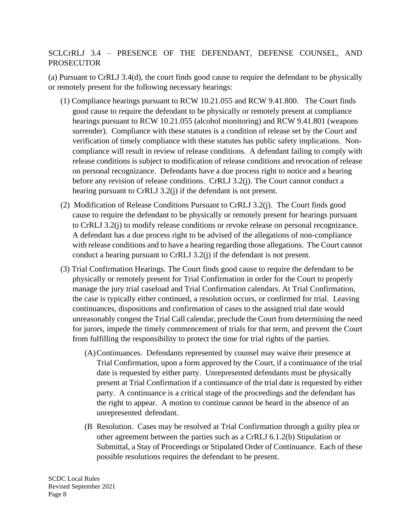# SCLCrRLJ 3.4 – PRESENCE OF THE DEFENDANT, DEFENSE COUNSEL, AND PROSECUTOR

(a) Pursuant to CrRLJ 3.4(d), the court finds good cause to require the defendant to be physically or remotely present for the following necessary hearings:

- (1) Compliance hearings pursuant to RCW 10.21.055 and RCW 9.41.800. The Court finds good cause to require the defendant to be physically or remotely present at compliance hearings pursuant to RCW 10.21.055 (alcohol monitoring) and RCW 9.41.801 (weapons surrender). Compliance with these statutes is a condition of release set by the Court and verification of timely compliance with these statutes has public safety implications. Noncompliance will result in review of release conditions. A defendant failing to comply with release conditions is subject to modification of release conditions and revocation of release on personal recognizance. Defendants have a due process right to notice and a hearing before any revision of release conditions. CrRLJ 3.2(j). The Court cannot conduct a hearing pursuant to CrRLJ 3.2(j) if the defendant is not present.
- (2) Modification of Release Conditions Pursuant to CrRLJ 3.2(j). The Court finds good cause to require the defendant to be physically or remotely present for hearings pursuant to CrRLJ 3.2(j) to modify release conditions or revoke release on personal recognizance. A defendant has a due process right to be advised of the allegations of non-compliance with release conditions and to have a hearing regarding those allegations. The Court cannot conduct a hearing pursuant to CrRLJ 3.2(j) if the defendant is not present.
- (3) Trial Confirmation Hearings. The Court finds good cause to require the defendant to be physically or remotely present for Trial Confirmation in order for the Court to properly manage the jury trial caseload and Trial Confirmation calendars. At Trial Confirmation, the case is typically either continued, a resolution occurs, or confirmed for trial. Leaving continuances, dispositions and confirmation of cases to the assigned trial date would unreasonably congest the Trial Call calendar, preclude the Court from determining the need for jurors, impede the timely commencement of trials for that term, and prevent the Court from fulfilling the responsibility to protect the time for trial rights of the parties.
	- (A)Continuances. Defendants represented by counsel may waive their presence at Trial Confirmation, upon a form approved by the Court, if a continuance of the trial date is requested by either party. Unrepresented defendants must be physically present at Trial Confirmation if a continuance of the trial date is requested by either party. A continuance is a critical stage of the proceedings and the defendant has the right to appear. A motion to continue cannot be heard in the absence of an unrepresented defendant.
	- (B Resolution. Cases may be resolved at Trial Confirmation through a guilty plea or other agreement between the parties such as a CrRLJ 6.1.2(b) Stipulation or Submittal, a Stay of Proceedings or Stipulated Order of Continuance. Each of these possible resolutions requires the defendant to be present.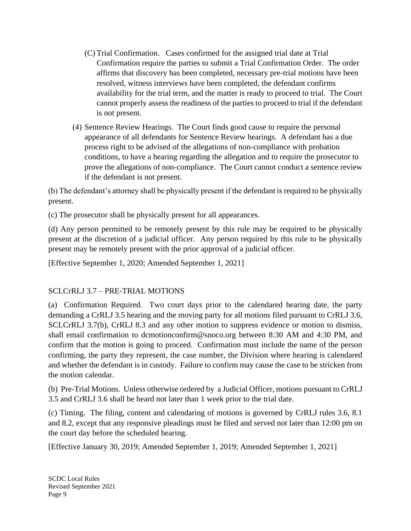- (C) Trial Confirmation. Cases confirmed for the assigned trial date at Trial Confirmation require the parties to submit a Trial Confirmation Order. The order affirms that discovery has been completed, necessary pre-trial motions have been resolved, witness interviews have been completed, the defendant confirms availability for the trial term, and the matter is ready to proceed to trial. The Court cannot properly assess the readiness of the parties to proceed to trial if the defendant is not present.
- (4) Sentence Review Hearings. The Court finds good cause to require the personal appearance of all defendants for Sentence Review hearings. A defendant has a due process right to be advised of the allegations of non-compliance with probation conditions, to have a hearing regarding the allegation and to require the prosecutor to prove the allegations of non-compliance. The Court cannot conduct a sentence review if the defendant is not present.

(b) The defendant's attorney shall be physically present if the defendant is required to be physically present.

(c) The prosecutor shall be physically present for all appearances.

(d) Any person permitted to be remotely present by this rule may be required to be physically present at the discretion of a judicial officer. Any person required by this rule to be physically present may be remotely present with the prior approval of a judicial officer.

[Effective September 1, 2020; Amended September 1, 2021]

# SCLCrRLJ 3.7 – PRE-TRIAL MOTIONS

(a) Confirmation Required. Two court days prior to the calendared hearing date, the party demanding a CrRLJ 3.5 hearing and the moving party for all motions filed pursuant to CrRLJ 3.6, SCLCrRLJ 3.7(b), CrRLJ 8.3 and any other motion to suppress evidence or motion to dismiss, shall email confirmation to dcmotionconfirm@snoco.org between 8:30 AM and 4:30 PM, and confirm that the motion is going to proceed. Confirmation must include the name of the person confirming, the party they represent, the case number, the Division where hearing is calendared and whether the defendant is in custody. Failure to confirm may cause the case to be stricken from the motion calendar.

(b) Pre-Trial Motions. Unless otherwise ordered by a Judicial Officer, motions pursuant to CrRLJ 3.5 and CrRLJ 3.6 shall be heard not later than 1 week prior to the trial date.

(c) Timing. The filing, content and calendaring of motions is governed by CrRLJ rules 3.6, 8.1 and 8.2, except that any responsive pleadings must be filed and served not later than 12:00 pm on the court day before the scheduled hearing.

[Effective January 30, 2019; Amended September 1, 2019; Amended September 1, 2021]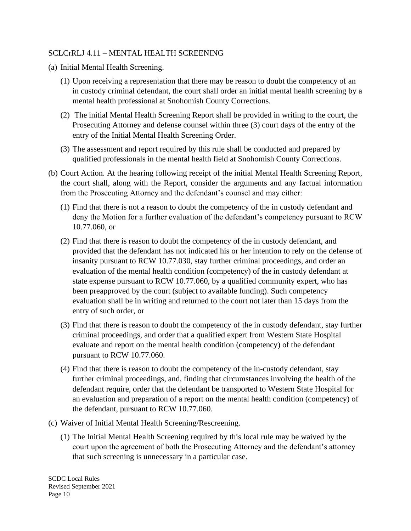### SCLCrRLJ 4.11 – MENTAL HEALTH SCREENING

- (a) Initial Mental Health Screening.
	- (1) Upon receiving a representation that there may be reason to doubt the competency of an in custody criminal defendant, the court shall order an initial mental health screening by a mental health professional at Snohomish County Corrections.
	- (2) The initial Mental Health Screening Report shall be provided in writing to the court, the Prosecuting Attorney and defense counsel within three (3) court days of the entry of the entry of the Initial Mental Health Screening Order.
	- (3) The assessment and report required by this rule shall be conducted and prepared by qualified professionals in the mental health field at Snohomish County Corrections.
- (b) Court Action. At the hearing following receipt of the initial Mental Health Screening Report, the court shall, along with the Report, consider the arguments and any factual information from the Prosecuting Attorney and the defendant's counsel and may either:
	- (1) Find that there is not a reason to doubt the competency of the in custody defendant and deny the Motion for a further evaluation of the defendant's competency pursuant to RCW 10.77.060, or
	- (2) Find that there is reason to doubt the competency of the in custody defendant, and provided that the defendant has not indicated his or her intention to rely on the defense of insanity pursuant to RCW 10.77.030, stay further criminal proceedings, and order an evaluation of the mental health condition (competency) of the in custody defendant at state expense pursuant to RCW 10.77.060, by a qualified community expert, who has been preapproved by the court (subject to available funding). Such competency evaluation shall be in writing and returned to the court not later than 15 days from the entry of such order, or
	- (3) Find that there is reason to doubt the competency of the in custody defendant, stay further criminal proceedings, and order that a qualified expert from Western State Hospital evaluate and report on the mental health condition (competency) of the defendant pursuant to RCW 10.77.060.
	- (4) Find that there is reason to doubt the competency of the in-custody defendant, stay further criminal proceedings, and, finding that circumstances involving the health of the defendant require, order that the defendant be transported to Western State Hospital for an evaluation and preparation of a report on the mental health condition (competency) of the defendant, pursuant to RCW 10.77.060.
- (c) Waiver of Initial Mental Health Screening/Rescreening.
	- (1) The Initial Mental Health Screening required by this local rule may be waived by the court upon the agreement of both the Prosecuting Attorney and the defendant's attorney that such screening is unnecessary in a particular case.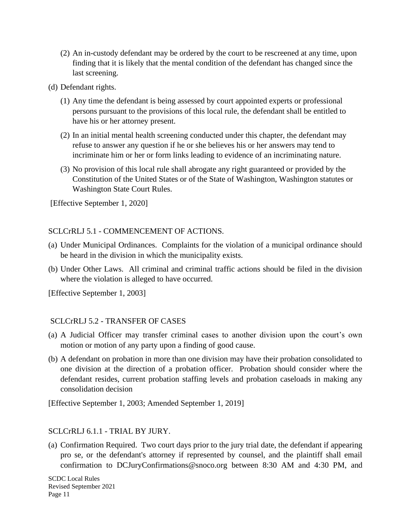- (2) An in-custody defendant may be ordered by the court to be rescreened at any time, upon finding that it is likely that the mental condition of the defendant has changed since the last screening.
- (d) Defendant rights.
	- (1) Any time the defendant is being assessed by court appointed experts or professional persons pursuant to the provisions of this local rule, the defendant shall be entitled to have his or her attorney present.
	- (2) In an initial mental health screening conducted under this chapter, the defendant may refuse to answer any question if he or she believes his or her answers may tend to incriminate him or her or form links leading to evidence of an incriminating nature.
	- (3) No provision of this local rule shall abrogate any right guaranteed or provided by the Constitution of the United States or of the State of Washington, Washington statutes or Washington State Court Rules.

[Effective September 1, 2020]

### SCLCrRLJ 5.1 - COMMENCEMENT OF ACTIONS.

- (a) Under Municipal Ordinances. Complaints for the violation of a municipal ordinance should be heard in the division in which the municipality exists.
- (b) Under Other Laws. All criminal and criminal traffic actions should be filed in the division where the violation is alleged to have occurred.

[Effective September 1, 2003]

### SCLCrRLJ 5.2 - TRANSFER OF CASES

- (a) A Judicial Officer may transfer criminal cases to another division upon the court's own motion or motion of any party upon a finding of good cause.
- (b) A defendant on probation in more than one division may have their probation consolidated to one division at the direction of a probation officer. Probation should consider where the defendant resides, current probation staffing levels and probation caseloads in making any consolidation decision

[Effective September 1, 2003; Amended September 1, 2019]

### SCLCrRLJ 6.1.1 - TRIAL BY JURY.

(a) Confirmation Required. Two court days prior to the jury trial date, the defendant if appearing pro se, or the defendant's attorney if represented by counsel, and the plaintiff shall email confirmation to DCJuryConfirmations@snoco.org between 8:30 AM and 4:30 PM, and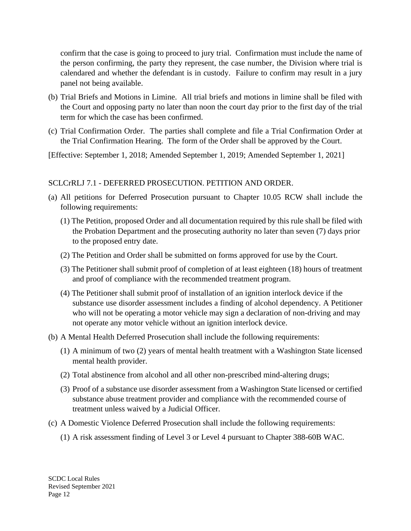confirm that the case is going to proceed to jury trial. Confirmation must include the name of the person confirming, the party they represent, the case number, the Division where trial is calendared and whether the defendant is in custody. Failure to confirm may result in a jury panel not being available.

- (b) Trial Briefs and Motions in Limine. All trial briefs and motions in limine shall be filed with the Court and opposing party no later than noon the court day prior to the first day of the trial term for which the case has been confirmed.
- (c) Trial Confirmation Order. The parties shall complete and file a Trial Confirmation Order at the Trial Confirmation Hearing. The form of the Order shall be approved by the Court.
- [Effective: September 1, 2018; Amended September 1, 2019; Amended September 1, 2021]

### SCLCrRLJ 7.1 - DEFERRED PROSECUTION. PETITION AND ORDER.

- (a) All petitions for Deferred Prosecution pursuant to Chapter 10.05 RCW shall include the following requirements:
	- (1) The Petition, proposed Order and all documentation required by this rule shall be filed with the Probation Department and the prosecuting authority no later than seven (7) days prior to the proposed entry date.
	- (2) The Petition and Order shall be submitted on forms approved for use by the Court.
	- (3) The Petitioner shall submit proof of completion of at least eighteen (18) hours of treatment and proof of compliance with the recommended treatment program.
	- (4) The Petitioner shall submit proof of installation of an ignition interlock device if the substance use disorder assessment includes a finding of alcohol dependency. A Petitioner who will not be operating a motor vehicle may sign a declaration of non-driving and may not operate any motor vehicle without an ignition interlock device.
- (b) A Mental Health Deferred Prosecution shall include the following requirements:
	- (1) A minimum of two (2) years of mental health treatment with a Washington State licensed mental health provider.
	- (2) Total abstinence from alcohol and all other non-prescribed mind-altering drugs;
	- (3) Proof of a substance use disorder assessment from a Washington State licensed or certified substance abuse treatment provider and compliance with the recommended course of treatment unless waived by a Judicial Officer.
- (c) A Domestic Violence Deferred Prosecution shall include the following requirements:
	- (1) A risk assessment finding of Level 3 or Level 4 pursuant to Chapter 388-60B WAC.